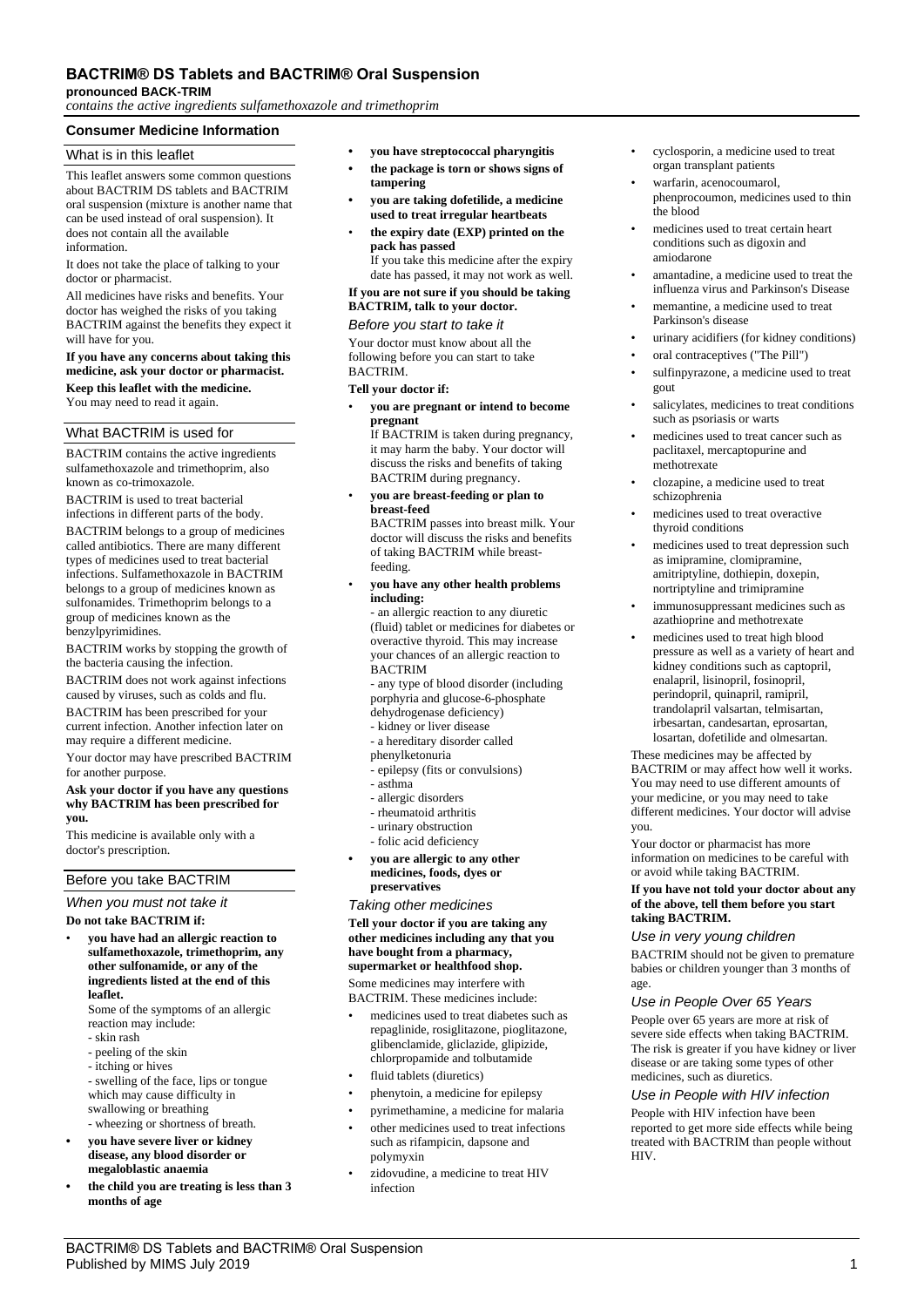# **BACTRIM® DS Tablets and BACTRIM® Oral Suspension**

**pronounced BACK-TRIM**

*contains the active ingredients sulfamethoxazole and trimethoprim*

# **Consumer Medicine Information**

## What is in this leaflet

This leaflet answers some common questions about BACTRIM DS tablets and BACTRIM oral suspension (mixture is another name that can be used instead of oral suspension). It does not contain all the available information.

It does not take the place of talking to your doctor or pharmacist.

All medicines have risks and benefits. Your doctor has weighed the risks of you taking BACTRIM against the benefits they expect it will have for you.

#### **If you have any concerns about taking this medicine, ask your doctor or pharmacist. Keep this leaflet with the medicine.**

You may need to read it again.

### What BACTRIM is used for

BACTRIM contains the active ingredients sulfamethoxazole and trimethoprim, also known as co-trimoxazole.

BACTRIM is used to treat bacterial infections in different parts of the body.

BACTRIM belongs to a group of medicines called antibiotics. There are many different types of medicines used to treat bacterial infections. Sulfamethoxazole in BACTRIM belongs to a group of medicines known as sulfonamides. Trimethoprim belongs to a group of medicines known as the benzylpyrimidines.

BACTRIM works by stopping the growth of the bacteria causing the infection.

BACTRIM does not work against infections caused by viruses, such as colds and flu. BACTRIM has been prescribed for your current infection. Another infection later on may require a different medicine.

Your doctor may have prescribed BACTRIM for another purpose.

**Ask your doctor if you have any questions why BACTRIM has been prescribed for you.**

This medicine is available only with a doctor's prescription.

# Before you take BACTRIM

*When you must not take it*

### **Do not take BACTRIM if:**

• **you have had an allergic reaction to sulfamethoxazole, trimethoprim, any other sulfonamide, or any of the ingredients listed at the end of this leaflet.**

Some of the symptoms of an allergic reaction may include:

- skin rash
- peeling of the skin
- itching or hives
- swelling of the face, lips or tongue which may cause difficulty in swallowing or breathing
- wheezing or shortness of breath. **• you have severe liver or kidney**
- **disease, any blood disorder or megaloblastic anaemia • the child you are treating is less than 3**
- **months of age**
- **• you have streptococcal pharyngitis**
- **• the package is torn or shows signs of tampering**
- **• you are taking dofetilide, a medicine used to treat irregular heartbeats**
- **the expiry date (EXP) printed on the pack has passed** If you take this medicine after the expiry

date has passed, it may not work as well.

## **If you are not sure if you should be taking BACTRIM, talk to your doctor.**

### *Before you start to take it*

Your doctor must know about all the following before you can start to take **BACTRIM** 

#### **Tell your doctor if:**

• **you are pregnant or intend to become pregnant**

If BACTRIM is taken during pregnancy, it may harm the baby. Your doctor will discuss the risks and benefits of taking BACTRIM during pregnancy.

• **you are breast-feeding or plan to breast-feed** BACTRIM passes into breast milk. Your

doctor will discuss the risks and benefits of taking BACTRIM while breastfeeding.

• **you have any other health problems including:**

- an allergic reaction to any diuretic (fluid) tablet or medicines for diabetes or overactive thyroid. This may increase your chances of an allergic reaction to BACTRIM

- any type of blood disorder (including porphyria and glucose-6-phosphate

- dehydrogenase deficiency)
- kidney or liver disease - a hereditary disorder called
- phenylketonuria
- epilepsy (fits or convulsions)
- asthma
- allergic disorders
- rheumatoid arthritis
- urinary obstruction
- folic acid deficiency
- **• you are allergic to any other medicines, foods, dyes or preservatives**

*Taking other medicines*

**Tell your doctor if you are taking any other medicines including any that you have bought from a pharmacy, supermarket or healthfood shop.** Some medicines may interfere with

BACTRIM. These medicines include:

- medicines used to treat diabetes such as repaglinide, rosiglitazone, pioglitazone, glibenclamide, gliclazide, glipizide, chlorpropamide and tolbutamide
- fluid tablets (diuretics)
- phenytoin, a medicine for epilepsy
- pyrimethamine, a medicine for malaria
- other medicines used to treat infections such as rifampicin, dapsone and polymyxin
- zidovudine, a medicine to treat HIV infection
- cyclosporin, a medicine used to treat organ transplant patients
- warfarin, acenocoumarol, phenprocoumon, medicines used to thin the blood
- medicines used to treat certain heart conditions such as digoxin and amiodarone
- amantadine, a medicine used to treat the influenza virus and Parkinson's Disease
- memantine, a medicine used to treat Parkinson's disease
- urinary acidifiers (for kidney conditions)
- oral contraceptives ("The Pill")
- sulfinpyrazone, a medicine used to treat gout
- salicylates, medicines to treat conditions such as psoriasis or warts
- medicines used to treat cancer such as paclitaxel, mercaptopurine and methotrexate
- clozapine, a medicine used to treat schizophrenia
- medicines used to treat overactive thyroid conditions
- medicines used to treat depression such as imipramine, clomipramine, amitriptyline, dothiepin, doxepin, nortriptyline and trimipramine
- immunosuppressant medicines such as azathioprine and methotrexate
- medicines used to treat high blood pressure as well as a variety of heart and kidney conditions such as captopril, enalapril, lisinopril, fosinopril, perindopril, quinapril, ramipril, trandolapril valsartan, telmisartan, irbesartan, candesartan, eprosartan, losartan, dofetilide and olmesartan.

These medicines may be affected by BACTRIM or may affect how well it works. You may need to use different amounts of your medicine, or you may need to take different medicines. Your doctor will advise you.

Your doctor or pharmacist has more information on medicines to be careful with or avoid while taking BACTRIM.

#### **If you have not told your doctor about any of the above, tell them before you start taking BACTRIM.**

### *Use in very young children*

BACTRIM should not be given to premature babies or children younger than 3 months of age.

### *Use in People Over 65 Years*

People over 65 years are more at risk of severe side effects when taking BACTRIM. The risk is greater if you have kidney or liver disease or are taking some types of other medicines, such as diuretics.

# *Use in People with HIV infection*

People with HIV infection have been reported to get more side effects while being treated with BACTRIM than people without HIV.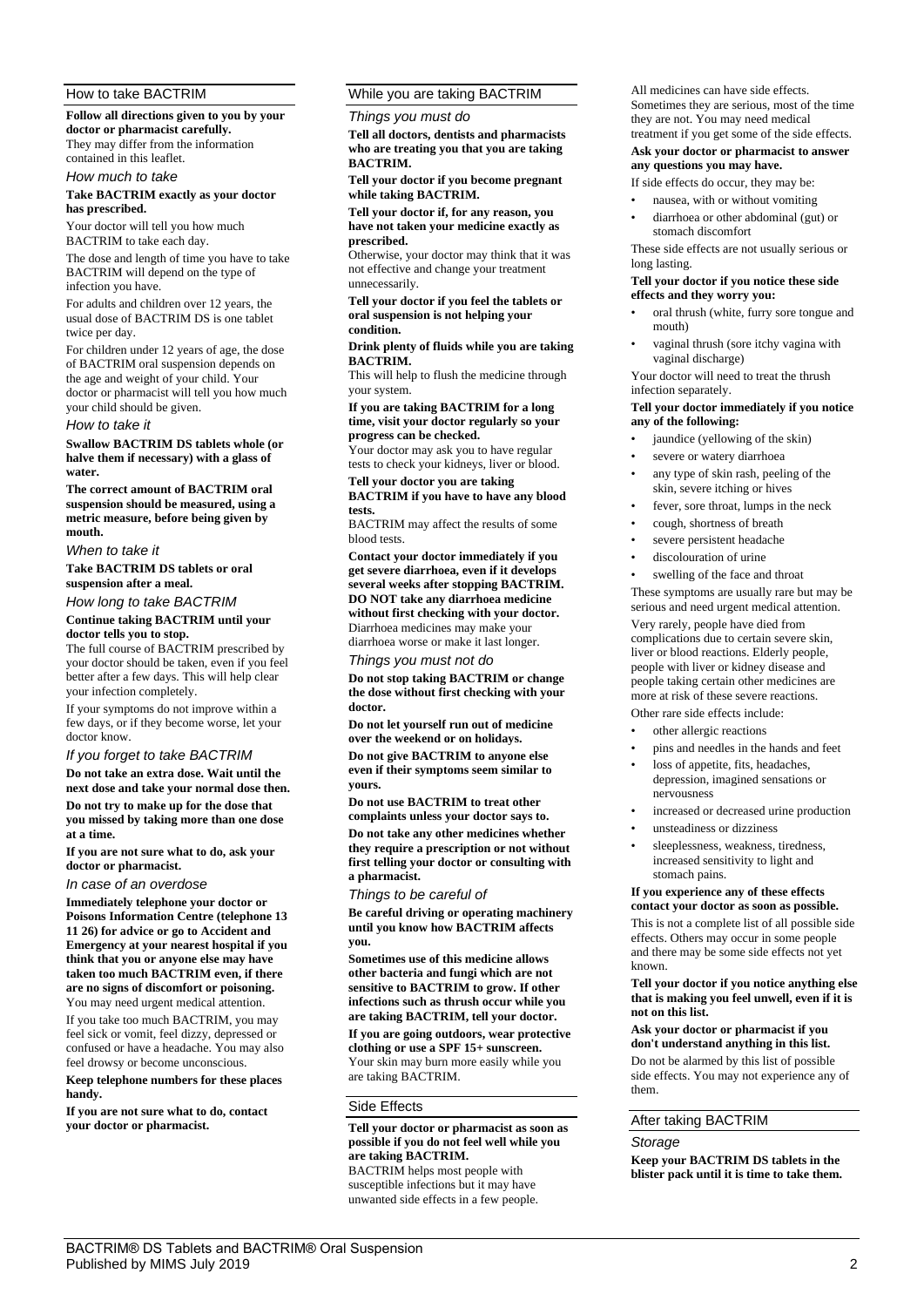# How to take BACTRIM

**Follow all directions given to you by your doctor or pharmacist carefully.** They may differ from the information contained in this leaflet.

# *How much to take*

**Take BACTRIM exactly as your doctor has prescribed.**

Your doctor will tell you how much BACTRIM to take each day.

The dose and length of time you have to take BACTRIM will depend on the type of infection you have.

For adults and children over 12 years, the usual dose of BACTRIM DS is one tablet twice per day.

For children under 12 years of age, the dose of BACTRIM oral suspension depends on the age and weight of your child. Your doctor or pharmacist will tell you how much your child should be given.

#### *How to take it*

**Swallow BACTRIM DS tablets whole (or halve them if necessary) with a glass of water.**

**The correct amount of BACTRIM oral suspension should be measured, using a metric measure, before being given by mouth.**

*When to take it*

**Take BACTRIM DS tablets or oral suspension after a meal.**

*How long to take BACTRIM*

#### **Continue taking BACTRIM until your doctor tells you to stop.**

The full course of BACTRIM prescribed by your doctor should be taken, even if you feel better after a few days. This will help clear your infection completely.

If your symptoms do not improve within a few days, or if they become worse, let your doctor know.

### *If you forget to take BACTRIM*

**Do not take an extra dose. Wait until the next dose and take your normal dose then. Do not try to make up for the dose that you missed by taking more than one dose at a time.**

**If you are not sure what to do, ask your doctor or pharmacist.**

*In case of an overdose*

**Immediately telephone your doctor or Poisons Information Centre (telephone 13 11 26) for advice or go to Accident and Emergency at your nearest hospital if you think that you or anyone else may have taken too much BACTRIM even, if there are no signs of discomfort or poisoning.** You may need urgent medical attention.

If you take too much BACTRIM, you may feel sick or vomit, feel dizzy, depressed or confused or have a headache. You may also feel drowsy or become unconscious.

**Keep telephone numbers for these places handy.**

**If you are not sure what to do, contact your doctor or pharmacist.**

## While you are taking BACTRIM

*Things you must do*

**Tell all doctors, dentists and pharmacists who are treating you that you are taking BACTRIM.**

**Tell your doctor if you become pregnant while taking BACTRIM.**

**Tell your doctor if, for any reason, you have not taken your medicine exactly as prescribed.**

Otherwise, your doctor may think that it was not effective and change your treatment unnecessarily.

**Tell your doctor if you feel the tablets or oral suspension is not helping your condition.**

**Drink plenty of fluids while you are taking BACTRIM.**

This will help to flush the medicine through your system.

**If you are taking BACTRIM for a long time, visit your doctor regularly so your progress can be checked.**

Your doctor may ask you to have regular tests to check your kidneys, liver or blood. **Tell your doctor you are taking** 

## **BACTRIM if you have to have any blood tests.**

BACTRIM may affect the results of some blood tests.

**Contact your doctor immediately if you get severe diarrhoea, even if it develops several weeks after stopping BACTRIM. DO NOT take any diarrhoea medicine without first checking with your doctor.**

Diarrhoea medicines may make your diarrhoea worse or make it last longer.

## *Things you must not do*

**Do not stop taking BACTRIM or change the dose without first checking with your doctor.**

**Do not let yourself run out of medicine over the weekend or on holidays.**

**Do not give BACTRIM to anyone else even if their symptoms seem similar to yours.**

**Do not use BACTRIM to treat other complaints unless your doctor says to.**

**Do not take any other medicines whether they require a prescription or not without first telling your doctor or consulting with a pharmacist.**

*Things to be careful of*

**Be careful driving or operating machinery until you know how BACTRIM affects you.**

**Sometimes use of this medicine allows other bacteria and fungi which are not sensitive to BACTRIM to grow. If other infections such as thrush occur while you are taking BACTRIM, tell your doctor.**

**If you are going outdoors, wear protective clothing or use a SPF 15+ sunscreen.** Your skin may burn more easily while you are taking BACTRIM.

### Side Effects

## **Tell your doctor or pharmacist as soon as possible if you do not feel well while you are taking BACTRIM.**

BACTRIM helps most people with susceptible infections but it may have unwanted side effects in a few people. All medicines can have side effects. Sometimes they are serious, most of the time they are not. You may need medical treatment if you get some of the side effects.

#### **Ask your doctor or pharmacist to answer any questions you may have.**

If side effects do occur, they may be:

- nausea, with or without vomiting
- diarrhoea or other abdominal (gut) or stomach discomfort

These side effects are not usually serious or long lasting.

### **Tell your doctor if you notice these side effects and they worry you:**

- oral thrush (white, furry sore tongue and mouth)
- vaginal thrush (sore itchy vagina with vaginal discharge)

Your doctor will need to treat the thrush infection separately.

### **Tell your doctor immediately if you notice any of the following:**

- jaundice (yellowing of the skin)
- severe or watery diarrhoea
- any type of skin rash, peeling of the skin, severe itching or hives
- fever, sore throat, lumps in the neck
- cough, shortness of breath
- severe persistent headache
- discolouration of urine

swelling of the face and throat

These symptoms are usually rare but may be serious and need urgent medical attention. Very rarely, people have died from complications due to certain severe skin, liver or blood reactions. Elderly people, people with liver or kidney disease and people taking certain other medicines are more at risk of these severe reactions. Other rare side effects include:

- 
- other allergic reactions
- pins and needles in the hands and feet
- loss of appetite, fits, headaches, depression, imagined sensations or nervousness
- increased or decreased urine production
- unsteadiness or dizziness
- sleeplessness, weakness, tiredness, increased sensitivity to light and stomach pains.

#### **If you experience any of these effects contact your doctor as soon as possible.**

This is not a complete list of all possible side effects. Others may occur in some people and there may be some side effects not yet known.

#### **Tell your doctor if you notice anything else that is making you feel unwell, even if it is not on this list.**

#### **Ask your doctor or pharmacist if you don't understand anything in this list.**

Do not be alarmed by this list of possible side effects. You may not experience any of them.

## After taking BACTRIM

### *Storage*

**Keep your BACTRIM DS tablets in the blister pack until it is time to take them.**